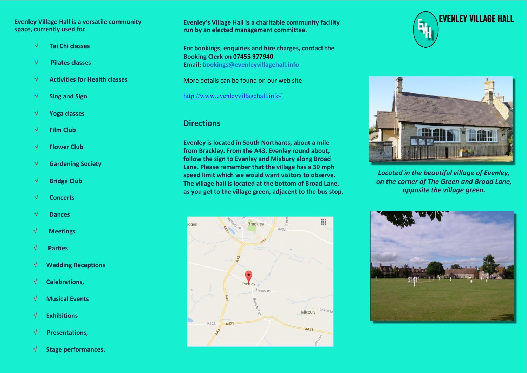#### **Evenley Village Hall is a versatile community space, currently used for**

- √ **Tai Chi classes**
- √ **Pilates classes**
- √ **Activities for Health classes**
- √ **Sing and Sign**
- √ **Yoga classes**
- √ **Film Club**
- √ **Flower Club**
- √ **Gardening Society**
- √ **Bridge Club**
- √ **Concerts**
- √ **Dances**
- √ **Meetings**
- √ **Parties**
- √ **Wedding Receptions**
- √ **Celebrations,**
- √ **Musical Events**
- √ **Exhibitions**
- √ **Presentations,**
- √ **Stage performances.**

**Evenley's Village Hall is a charitable community facility run by an elected management committee.**

**For bookings, enquiries and hire charges, contact the Booking Clerk on 07455 977940 Email: bookings@evenleyvillagehall.info**

More details can be found on our web site

<http://www.evenleyvillagehall.info/>

#### **Directions**

**Evenley is located in South Northants, about a mile from Brackley. From the A43, Evenley round about, follow the sign to Evenley and Mixbury along Broad Lane. Please remember that the village has a 30 mph speed limit which we would want visitors to observe. The village hall is located at the bottom of Broad Lane, as you get to the village green, adjacent to the bus stop.**







*Located in the beautiful village of Evenley, on the corner of The Green and Broad Lane, opposite the village green.*